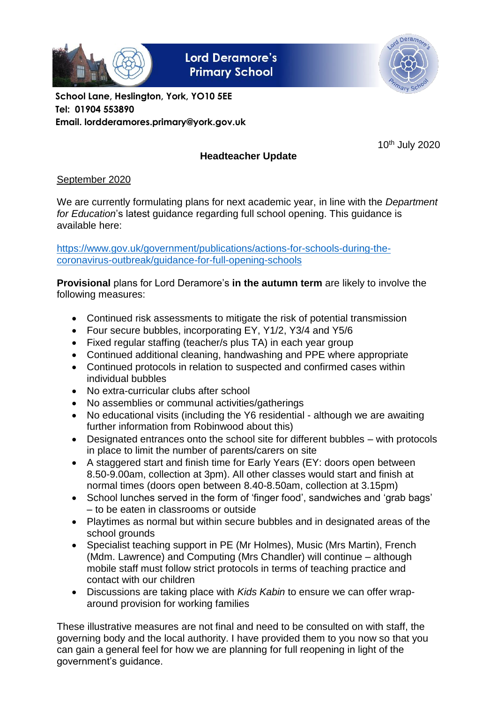

**Lord Deramore's Primary School** 



**School Lane, Heslington, York, YO10 5EE Tel: 01904 553890 Email. lordderamores.primary@york.gov.uk**

10th July 2020

# **Headteacher Update**

# September 2020

We are currently formulating plans for next academic year, in line with the *Department for Education*'s latest guidance regarding full school opening. This guidance is available here:

[https://www.gov.uk/government/publications/actions-for-schools-during-the](https://www.gov.uk/government/publications/actions-for-schools-during-the-coronavirus-outbreak/guidance-for-full-opening-schools)[coronavirus-outbreak/guidance-for-full-opening-schools](https://www.gov.uk/government/publications/actions-for-schools-during-the-coronavirus-outbreak/guidance-for-full-opening-schools)

**Provisional** plans for Lord Deramore's **in the autumn term** are likely to involve the following measures:

- Continued risk assessments to mitigate the risk of potential transmission
- Four secure bubbles, incorporating EY, Y1/2, Y3/4 and Y5/6
- Fixed regular staffing (teacher/s plus TA) in each year group
- Continued additional cleaning, handwashing and PPE where appropriate
- Continued protocols in relation to suspected and confirmed cases within individual bubbles
- No extra-curricular clubs after school
- No assemblies or communal activities/gatherings
- No educational visits (including the Y6 residential although we are awaiting further information from Robinwood about this)
- Designated entrances onto the school site for different bubbles with protocols in place to limit the number of parents/carers on site
- A staggered start and finish time for Early Years (EY: doors open between 8.50-9.00am, collection at 3pm). All other classes would start and finish at normal times (doors open between 8.40-8.50am, collection at 3.15pm)
- School lunches served in the form of 'finger food', sandwiches and 'grab bags' – to be eaten in classrooms or outside
- Playtimes as normal but within secure bubbles and in designated areas of the school grounds
- Specialist teaching support in PE (Mr Holmes), Music (Mrs Martin), French (Mdm. Lawrence) and Computing (Mrs Chandler) will continue – although mobile staff must follow strict protocols in terms of teaching practice and contact with our children
- Discussions are taking place with *Kids Kabin* to ensure we can offer wraparound provision for working families

These illustrative measures are not final and need to be consulted on with staff, the governing body and the local authority. I have provided them to you now so that you can gain a general feel for how we are planning for full reopening in light of the government's guidance.